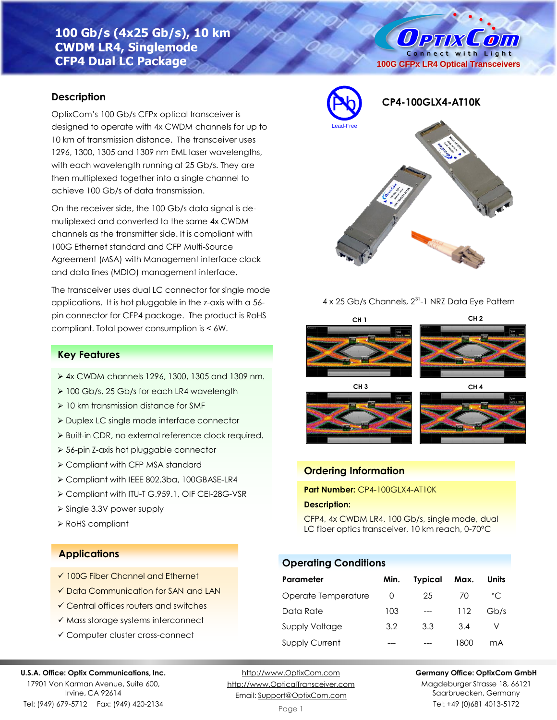# **100 Gb/s (4x25 Gb/s), 10 km CWDM LR4, Singlemode CFP4 Dual LC Package**

## **Description**

OptixCom's 100 Gb/s CFPx optical transceiver is designed to operate with 4x CWDM channels for up to 10 km of transmission distance. The transceiver uses 1296, 1300, 1305 and 1309 nm EML laser wavelengths, with each wavelength running at 25 Gb/s. They are then multiplexed together into a single channel to achieve 100 Gb/s of data transmission.

On the receiver side, the 100 Gb/s data signal is demutiplexed and converted to the same 4x CWDM channels as the transmitter side. It is compliant with 100G Ethernet standard and CFP Multi-Source Agreement (MSA) with Management interface clock and data lines (MDIO) management interface.

The transceiver uses dual LC connector for single mode applications. It is hot pluggable in the z-axis with a 56 pin connector for CFP4 package. The product is RoHS compliant. Total power consumption is < 6W.

# **Key Features**

- ➢ 4x CWDM channels 1296, 1300, 1305 and 1309 nm.
- ➢ 100 Gb/s, 25 Gb/s for each LR4 wavelength
- ➢ 10 km transmission distance for SMF
- ➢ Duplex LC single mode interface connector
- ➢ Built-in CDR, no external reference clock required.
- ➢ 56-pin Z-axis hot pluggable connector
- ➢ Compliant with CFP MSA standard
- ➢ Compliant with IEEE 802.3ba, 100GBASE-LR4
- ➢ Compliant with ITU-T G.959.1, OIF CEI-28G-VSR
- ➢ Single 3.3V power supply
- ➢ RoHS compliant

# **Applications**

- ✓ 100G Fiber Channel and Ethernet
- ✓ Data Communication for SAN and LAN
- ✓ Central offices routers and switches
- ✓ Mass storage systems interconnect
- ✓ Computer cluster cross-connect

#### **U.S.A. Office: Optix Communications, Inc.**

17901 Von Karman Avenue, Suite 600, Irvine, CA 92614 Tel: (949) 679-5712 Fax: (949) 420-2134

[http://www.OptixCom.com](http://www.optixcom.com/) [http://www.OpticalTransceiver.com](http://www.optoictech.com/) Email: [Support@OptixCom.com](mailto:Support@optoICtech.com)

Page 1

#### **Germany Office: OptixCom GmbH**

Magdeburger Strasse 18, 66121 Saarbruecken, Germany Tel: +49 (0)681 4013-5172



#### 4 x 25 Gb/s Channels, 2<sup>31</sup>-1 NRZ Data Eye Pattern









### **Ordering Information**

**Part Number:** CP4-100GLX4-AT10K

#### **Description:**

CFP4, 4x CWDM LR4, 100 Gb/s, single mode, dual LC fiber optics transceiver, 10 km reach, 0-70°C

### **Operating Conditions**

| Parameter             | Min.     | <b>Typical</b> | Max. | Units        |
|-----------------------|----------|----------------|------|--------------|
| Operate Temperature   | $\Omega$ | 25             | 70   | $^{\circ}$ C |
| Data Rate             | 103      | $---$          | 112  | Gb/s         |
| Supply Voltage        | 3.2      | 3.3            | 3.4  |              |
| <b>Supply Current</b> |          |                | 1800 | mA           |

**OPTIX**  $\mathcal{L}$  oin Connect with Light **100G CFPx LR4 Optical Transceivers**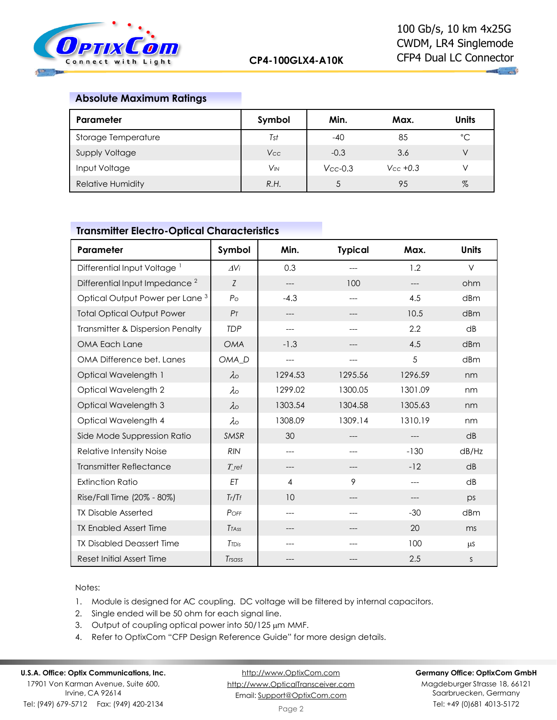

 $\mathbf{u}$  and

## **Absolute Maximum Ratings**

| Parameter                | Symbol                | Min.          | Max.           | <b>Units</b> |
|--------------------------|-----------------------|---------------|----------------|--------------|
| Storage Temperature      | Tst                   | $-40$         | 85             | °C           |
| Supply Voltage           | <b>Vcc</b>            | $-0.3$        | 3.6            | V            |
| Input Voltage            | <b>V<sub>IN</sub></b> | $V_{CC}$ -0.3 | $V_{CC} + 0.3$ | V            |
| <b>Relative Humidity</b> | R.H.                  |               | 95             | $\%$         |

# **Transmitter Electro-Optical Characteristics**

| Parameter                                  | Symbol            | Min.    | <b>Typical</b> | Max.    | <b>Units</b> |
|--------------------------------------------|-------------------|---------|----------------|---------|--------------|
| Differential Input Voltage <sup>1</sup>    | AVi               | 0.3     | ---            | 1.2     | $\vee$       |
| Differential Input Impedance <sup>2</sup>  | Z                 | ---     | 100            | $---$   | ohm          |
| Optical Output Power per Lane <sup>3</sup> | $P_{\Omega}$      | $-4.3$  | ---            | 4.5     | dBm          |
| <b>Total Optical Output Power</b>          | P <sub>T</sub>    | ---     | ---            | 10.5    | dBm          |
| Transmitter & Dispersion Penalty           | <b>TDP</b>        | ---     |                | 2.2     | dB           |
| OMA Each Lane                              | <b>OMA</b>        | $-1.3$  | ---            | 4.5     | dBm          |
| OMA Difference bet. Lanes                  | OMA <sub>D</sub>  | ---     | ---            | 5       | dBm          |
| Optical Wavelength 1                       | $\lambda$         | 1294.53 | 1295.56        | 1296.59 | nm           |
| Optical Wavelength 2                       | $\lambda \circ$   | 1299.02 | 1300.05        | 1301.09 | nm           |
| Optical Wavelength 3                       | $\lambda$         | 1303.54 | 1304.58        | 1305.63 | nm           |
| Optical Wavelength 4                       | $\lambda \circ$   | 1308.09 | 1309.14        | 1310.19 | nm           |
| Side Mode Suppression Ratio                | <b>SMSR</b>       | 30      | ---            | $---$   | dB           |
| Relative Intensity Noise                   | <b>RIN</b>        | ---     | ---            | $-130$  | dB/Hz        |
| <b>Transmitter Reflectance</b>             | $T$ ref           | $---$   | ---            | $-12$   | dB           |
| <b>Extinction Ratio</b>                    | ET                | 4       | 9              | $---$   | dB           |
| Rise/Fall Time (20% - 80%)                 | Tr/Tf             | 10      | ---            | $---$   | DS           |
| <b>TX Disable Asserted</b>                 | POFF              | ---     | $---$          | $-30$   | dBm          |
| <b>TX Enabled Assert Time</b>              | <b>TTASS</b>      | ---     | ---            | 20      | ms           |
| <b>TX Disabled Deassert Time</b>           | T <sub>TDis</sub> | ---     | ---            | 100     | μS           |
| Reset Initial Assert Time                  | Trsass            | ---     | ---            | 2.5     | S            |

Notes:

- 1. Module is designed for AC coupling. DC voltage will be filtered by internal capacitors.
- 2. Single ended will be 50 ohm for each signal line.
- 3. Output of coupling optical power into 50/125 µm MMF.
- 4. Refer to OptixCom "CFP Design Reference Guide" for more design details.

# **U.S.A. Office: Optix Communications, Inc.**

17901 Von Karman Avenue, Suite 600, Irvine, CA 92614 Tel: (949) 679-5712 Fax: (949) 420-2134

[http://www.OptixCom.com](http://www.optixcom.com/) [http://www.OpticalTransceiver.com](http://www.optoictech.com/) Email: [Support@OptixCom.com](mailto:Support@optoICtech.com)

#### **Germany Office: OptixCom GmbH**

Magdeburger Strasse 18, 66121 Saarbruecken, Germany Tel: +49 (0)681 4013-5172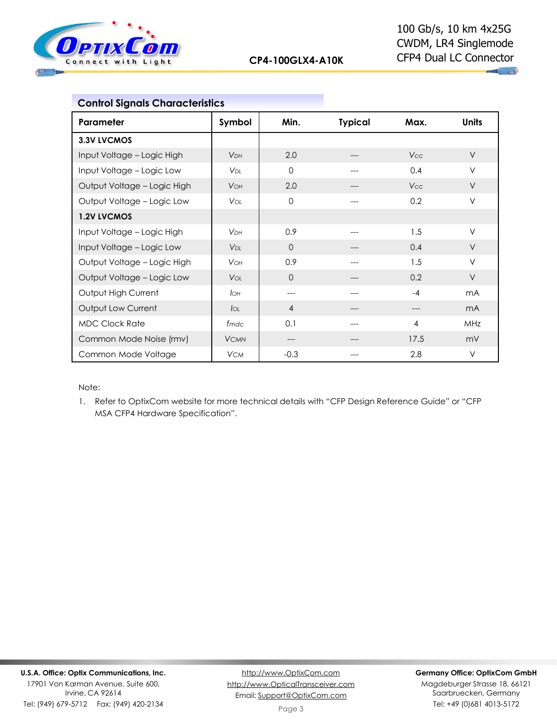

| <b>Control Signals Characteristics</b> |                        |                |                |            |                |
|----------------------------------------|------------------------|----------------|----------------|------------|----------------|
| Parameter                              | Symbol                 | Min.           | <b>Typical</b> | Max.       | <b>Units</b>   |
| 3.3V LVCMOS                            |                        |                |                |            |                |
| Input Voltage - Logic High             | V <sub>DH</sub>        | 2.0            |                | <b>Vcc</b> | $\vee$         |
| Input Voltage - Logic Low              | V <sub>DI</sub>        | $\mathbf 0$    | ---            | 0.4        | $\vee$         |
| Output Voltage - Logic High            | <b>VOH</b>             | 2.0            |                | <b>Vcc</b> | $\vee$         |
| Output Voltage - Logic Low             | Voi:                   | $\Omega$       |                | 0.2        | $\vee$         |
| 1.2V LVCMOS                            |                        |                |                |            |                |
| Input Voltage - Logic High             | <b>V<sub>DH</sub></b>  | 0.9            |                | 1.5        | V              |
| Input Voltage - Logic Low              | <b>V</b> <sub>DI</sub> | $\Omega$       | ---            | 0.4        | $\vee$         |
| Output Voltage - Logic High            | <b>VOH</b>             | 0.9            | ---            | 1.5        | $\vee$         |
| Output Voltage - Logic Low             | <b>VOL</b>             | $\Omega$       |                | 0.2        | $\vee$         |
| Output High Current                    | Iон                    | ---            |                | $-4$       | m <sub>A</sub> |
| Output Low Current                     | $I_{OL}$               | $\overline{4}$ |                |            | m <sub>A</sub> |
| <b>MDC Clock Rate</b>                  | fmdc                   | 0.1            |                | 4          | MHz            |
| Common Mode Noise (rmv)                | <b>VCMN</b>            | ---            | ---            | 17.5       | mV             |
| Common Mode Voltage                    | <b>VCM</b>             | $-0.3$         | ---            | 2.8        | V              |

Note:

1. Refer to OptixCom website for more technical details with "CFP Design Reference Guide" or "CFP MSA CFP4 Hardware Specification".

Tel: (949) 679-5712 Fax: (949) 420-2134

#### **Germany Office: OptixCom GmbH**

Magdeburger Strasse 18, 66121 Saarbruecken, Germany Tel: +49 (0)681 4013-5172